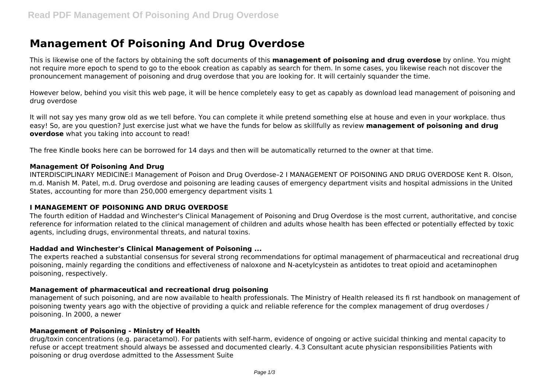# **Management Of Poisoning And Drug Overdose**

This is likewise one of the factors by obtaining the soft documents of this **management of poisoning and drug overdose** by online. You might not require more epoch to spend to go to the ebook creation as capably as search for them. In some cases, you likewise reach not discover the pronouncement management of poisoning and drug overdose that you are looking for. It will certainly squander the time.

However below, behind you visit this web page, it will be hence completely easy to get as capably as download lead management of poisoning and drug overdose

It will not say yes many grow old as we tell before. You can complete it while pretend something else at house and even in your workplace. thus easy! So, are you question? Just exercise just what we have the funds for below as skillfully as review **management of poisoning and drug overdose** what you taking into account to read!

The free Kindle books here can be borrowed for 14 days and then will be automatically returned to the owner at that time.

#### **Management Of Poisoning And Drug**

INTERDISCIPLINARY MEDICINE:I Management of Poison and Drug Overdose–2 I MANAGEMENT OF POISONING AND DRUG OVERDOSE Kent R. Olson, m.d. Manish M. Patel, m.d. Drug overdose and poisoning are leading causes of emergency department visits and hospital admissions in the United States, accounting for more than 250,000 emergency department visits 1

#### **I MANAGEMENT OF POISONING AND DRUG OVERDOSE**

The fourth edition of Haddad and Winchester's Clinical Management of Poisoning and Drug Overdose is the most current, authoritative, and concise reference for information related to the clinical management of children and adults whose health has been effected or potentially effected by toxic agents, including drugs, environmental threats, and natural toxins.

#### **Haddad and Winchester's Clinical Management of Poisoning ...**

The experts reached a substantial consensus for several strong recommendations for optimal management of pharmaceutical and recreational drug poisoning, mainly regarding the conditions and effectiveness of naloxone and N-acetylcystein as antidotes to treat opioid and acetaminophen poisoning, respectively.

#### **Management of pharmaceutical and recreational drug poisoning**

management of such poisoning, and are now available to health professionals. The Ministry of Health released its fi rst handbook on management of poisoning twenty years ago with the objective of providing a quick and reliable reference for the complex management of drug overdoses / poisoning. In 2000, a newer

#### **Management of Poisoning - Ministry of Health**

drug/toxin concentrations (e.g. paracetamol). For patients with self-harm, evidence of ongoing or active suicidal thinking and mental capacity to refuse or accept treatment should always be assessed and documented clearly. 4.3 Consultant acute physician responsibilities Patients with poisoning or drug overdose admitted to the Assessment Suite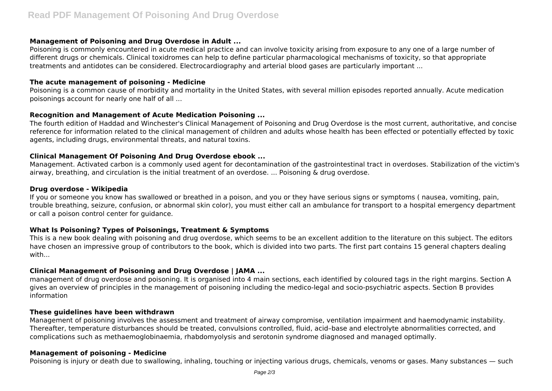## **Management of Poisoning and Drug Overdose in Adult ...**

Poisoning is commonly encountered in acute medical practice and can involve toxicity arising from exposure to any one of a large number of different drugs or chemicals. Clinical toxidromes can help to define particular pharmacological mechanisms of toxicity, so that appropriate treatments and antidotes can be considered. Electrocardiography and arterial blood gases are particularly important ...

## **The acute management of poisoning - Medicine**

Poisoning is a common cause of morbidity and mortality in the United States, with several million episodes reported annually. Acute medication poisonings account for nearly one half of all ...

# **Recognition and Management of Acute Medication Poisoning ...**

The fourth edition of Haddad and Winchester's Clinical Management of Poisoning and Drug Overdose is the most current, authoritative, and concise reference for information related to the clinical management of children and adults whose health has been effected or potentially effected by toxic agents, including drugs, environmental threats, and natural toxins.

# **Clinical Management Of Poisoning And Drug Overdose ebook ...**

Management. Activated carbon is a commonly used agent for decontamination of the gastrointestinal tract in overdoses. Stabilization of the victim's airway, breathing, and circulation is the initial treatment of an overdose. ... Poisoning & drug overdose.

#### **Drug overdose - Wikipedia**

If you or someone you know has swallowed or breathed in a poison, and you or they have serious signs or symptoms ( nausea, vomiting, pain, trouble breathing, seizure, confusion, or abnormal skin color), you must either call an ambulance for transport to a hospital emergency department or call a poison control center for guidance.

# **What Is Poisoning? Types of Poisonings, Treatment & Symptoms**

This is a new book dealing with poisoning and drug overdose, which seems to be an excellent addition to the literature on this subject. The editors have chosen an impressive group of contributors to the book, which is divided into two parts. The first part contains 15 general chapters dealing with...

# **Clinical Management of Poisoning and Drug Overdose | JAMA ...**

management of drug overdose and poisoning. It is organised into 4 main sections, each identified by coloured tags in the right margins. Section A gives an overview of principles in the management of poisoning including the medico-legal and socio-psychiatric aspects. Section B provides information

#### **These guidelines have been withdrawn**

Management of poisoning involves the assessment and treatment of airway compromise, ventilation impairment and haemodynamic instability. Thereafter, temperature disturbances should be treated, convulsions controlled, fluid, acid–base and electrolyte abnormalities corrected, and complications such as methaemoglobinaemia, rhabdomyolysis and serotonin syndrome diagnosed and managed optimally.

#### **Management of poisoning - Medicine**

Poisoning is injury or death due to swallowing, inhaling, touching or injecting various drugs, chemicals, venoms or gases. Many substances — such